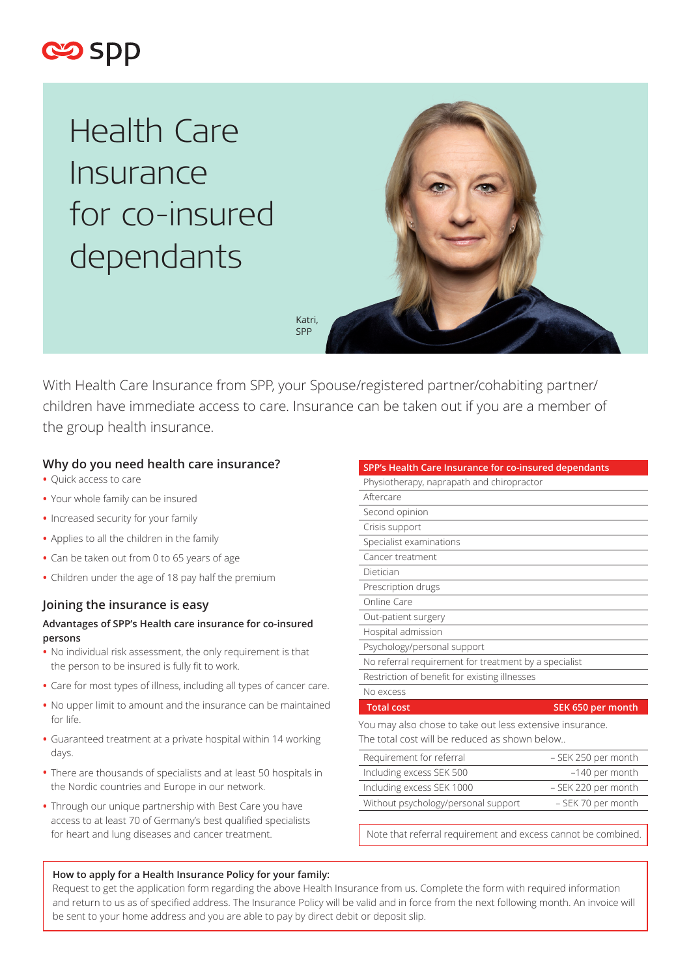

Health Care Insurance for co-insured dependants



Katri, SPP

With Health Care Insurance from SPP, your Spouse/registered partner/cohabiting partner/ children have immediate access to care. Insurance can be taken out if you are a member of the group health insurance.

# **Why do you need health care insurance?**

- **•** Quick access to care
- **•** Your whole family can be insured
- **•** Increased security for your family
- **•** Applies to all the children in the family
- **•** Can be taken out from 0 to 65 years of age
- **•** Children under the age of 18 pay half the premium

# **Joining the insurance is easy**

## **Advantages of SPP's Health care insurance for co-insured persons**

- **•** No individual risk assessment, the only requirement is that the person to be insured is fully fit to work.
- **•** Care for most types of illness, including all types of cancer care.
- **•** No upper limit to amount and the insurance can be maintained for life.
- **•** Guaranteed treatment at a private hospital within 14 working days.
- **•** There are thousands of specialists and at least 50 hospitals in the Nordic countries and Europe in our network.
- **•** Through our unique partnership with Best Care you have access to at least 70 of Germany's best qualified specialists for heart and lung diseases and cancer treatment.

| SPP's Health Care Insurance for co-insured dependants |
|-------------------------------------------------------|
| Physiotherapy, naprapath and chiropractor             |
| Aftercare                                             |
| Second opinion                                        |
| Crisis support                                        |
| Specialist examinations                               |
| Cancer treatment                                      |
| Dietician                                             |
| Prescription drugs                                    |
| Online Care                                           |
| Out-patient surgery                                   |
| Hospital admission                                    |
| Psychology/personal support                           |
| No referral requirement for treatment by a specialist |
| Restriction of benefit for existing illnesses         |
| No excess                                             |
| <b>Total cost</b><br>SEK 650 per month                |

You may also chose to take out less extensive insurance. The total cost will be reduced as shown below..

| Requirement for referral            | - SEK 250 per month |
|-------------------------------------|---------------------|
| Including excess SEK 500            | $-140$ per month    |
| Including excess SEK 1000           | - SEK 220 per month |
| Without psychology/personal support | - SEK 70 per month  |
|                                     |                     |

Note that referral requirement and excess cannot be combined.

#### **How to apply for a Health Insurance Policy for your family:**

Request to get the application form regarding the above Health Insurance from us. Complete the form with required information and return to us as of specified address. The Insurance Policy will be valid and in force from the next following month. An invoice will be sent to your home address and you are able to pay by direct debit or deposit slip.